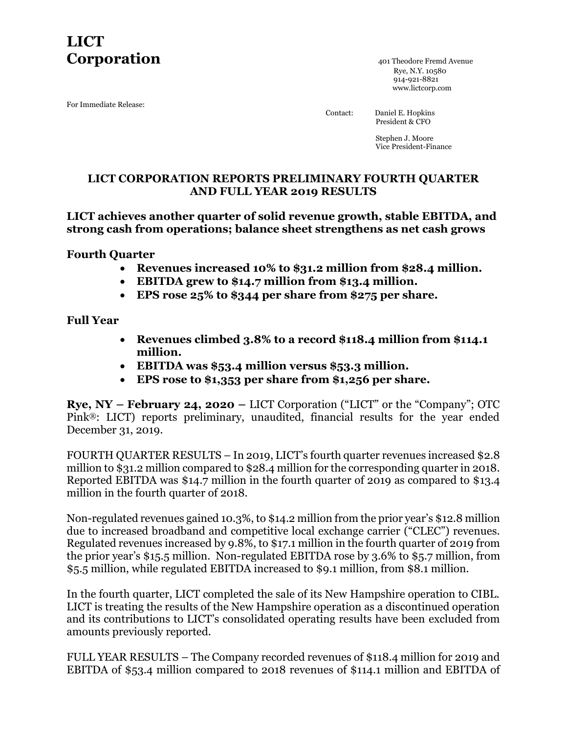# **LICT Corporation Corporation** *AO1* **Theodore Fremd Avenue**

For Immediate Release:

 Rye, N.Y. 10580 914-921-8821 www.lictcorp.com

 Contact: Daniel E. Hopkins President & CFO

> Stephen J. Moore Vice President-Finance

## **LICT CORPORATION REPORTS PRELIMINARY FOURTH QUARTER AND FULL YEAR 2019 RESULTS**

**LICT achieves another quarter of solid revenue growth, stable EBITDA, and strong cash from operations; balance sheet strengthens as net cash grows**

**Fourth Quarter**

- **Revenues increased 10% to \$31.2 million from \$28.4 million.**
- **EBITDA grew to \$14.7 million from \$13.4 million.**
- **EPS rose 25% to \$344 per share from \$275 per share.**

**Full Year**

- **Revenues climbed 3.8% to a record \$118.4 million from \$114.1 million.**
- **EBITDA was \$53.4 million versus \$53.3 million.**
- **EPS rose to \$1,353 per share from \$1,256 per share.**

**Rye, NY – February 24, 2020 –** LICT Corporation ("LICT" or the "Company"; OTC Pink®: LICT) reports preliminary, unaudited, financial results for the year ended December 31, 2019.

FOURTH QUARTER RESULTS – In 2019, LICT's fourth quarter revenues increased \$2.8 million to \$31.2 million compared to \$28.4 million for the corresponding quarter in 2018. Reported EBITDA was \$14.7 million in the fourth quarter of 2019 as compared to \$13.4 million in the fourth quarter of 2018.

Non-regulated revenues gained 10.3%, to \$14.2 million from the prior year's \$12.8 million due to increased broadband and competitive local exchange carrier ("CLEC") revenues. Regulated revenues increased by 9.8%, to \$17.1 million in the fourth quarter of 2019 from the prior year's \$15.5 million. Non-regulated EBITDA rose by 3.6% to \$5.7 million, from \$5.5 million, while regulated EBITDA increased to \$9.1 million, from \$8.1 million.

In the fourth quarter, LICT completed the sale of its New Hampshire operation to CIBL. LICT is treating the results of the New Hampshire operation as a discontinued operation and its contributions to LICT's consolidated operating results have been excluded from amounts previously reported.

FULL YEAR RESULTS – The Company recorded revenues of \$118.4 million for 2019 and EBITDA of \$53.4 million compared to 2018 revenues of \$114.1 million and EBITDA of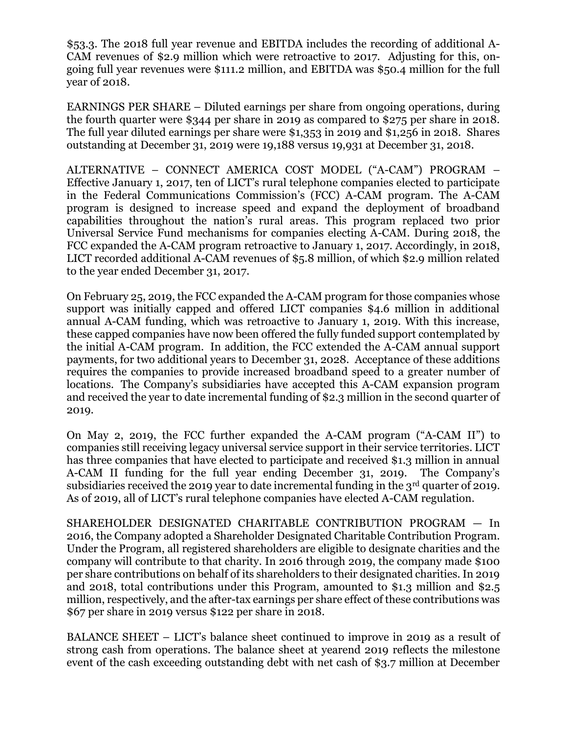\$53.3. The 2018 full year revenue and EBITDA includes the recording of additional A-CAM revenues of \$2.9 million which were retroactive to 2017. Adjusting for this, ongoing full year revenues were \$111.2 million, and EBITDA was \$50.4 million for the full year of 2018.

EARNINGS PER SHARE – Diluted earnings per share from ongoing operations, during the fourth quarter were \$344 per share in 2019 as compared to \$275 per share in 2018. The full year diluted earnings per share were \$1,353 in 2019 and \$1,256 in 2018. Shares outstanding at December 31, 2019 were 19,188 versus 19,931 at December 31, 2018.

ALTERNATIVE – CONNECT AMERICA COST MODEL ("A-CAM") PROGRAM – Effective January 1, 2017, ten of LICT's rural telephone companies elected to participate in the Federal Communications Commission's (FCC) A-CAM program. The A-CAM program is designed to increase speed and expand the deployment of broadband capabilities throughout the nation's rural areas. This program replaced two prior Universal Service Fund mechanisms for companies electing A-CAM. During 2018, the FCC expanded the A-CAM program retroactive to January 1, 2017. Accordingly, in 2018, LICT recorded additional A-CAM revenues of \$5.8 million, of which \$2.9 million related to the year ended December 31, 2017.

On February 25, 2019, the FCC expanded the A-CAM program for those companies whose support was initially capped and offered LICT companies \$4.6 million in additional annual A-CAM funding, which was retroactive to January 1, 2019. With this increase, these capped companies have now been offered the fully funded support contemplated by the initial A-CAM program. In addition, the FCC extended the A-CAM annual support payments, for two additional years to December 31, 2028. Acceptance of these additions requires the companies to provide increased broadband speed to a greater number of locations. The Company's subsidiaries have accepted this A-CAM expansion program and received the year to date incremental funding of \$2.3 million in the second quarter of 2019.

On May 2, 2019, the FCC further expanded the A-CAM program ("A-CAM II") to companies still receiving legacy universal service support in their service territories. LICT has three companies that have elected to participate and received \$1.3 million in annual A-CAM II funding for the full year ending December 31, 2019. The Company's subsidiaries received the 2019 year to date incremental funding in the  $3<sup>rd</sup>$  quarter of 2019. As of 2019, all of LICT's rural telephone companies have elected A-CAM regulation.

SHAREHOLDER DESIGNATED CHARITABLE CONTRIBUTION PROGRAM — In 2016, the Company adopted a Shareholder Designated Charitable Contribution Program. Under the Program, all registered shareholders are eligible to designate charities and the company will contribute to that charity. In 2016 through 2019, the company made \$100 per share contributions on behalf of its shareholders to their designated charities. In 2019 and 2018, total contributions under this Program, amounted to \$1.3 million and \$2.5 million, respectively, and the after-tax earnings per share effect of these contributions was \$67 per share in 2019 versus \$122 per share in 2018.

BALANCE SHEET – LICT's balance sheet continued to improve in 2019 as a result of strong cash from operations. The balance sheet at yearend 2019 reflects the milestone event of the cash exceeding outstanding debt with net cash of \$3.7 million at December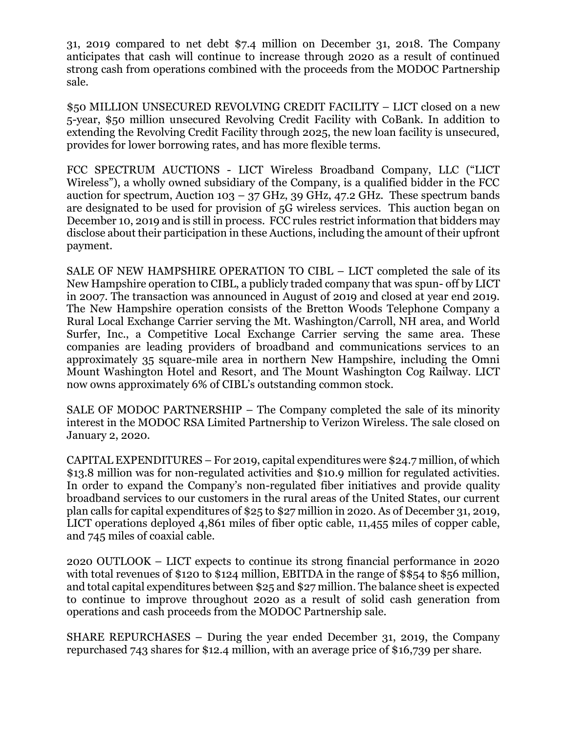31, 2019 compared to net debt \$7.4 million on December 31, 2018. The Company anticipates that cash will continue to increase through 2020 as a result of continued strong cash from operations combined with the proceeds from the MODOC Partnership sale.

\$50 MILLION UNSECURED REVOLVING CREDIT FACILITY – LICT closed on a new 5-year, \$50 million unsecured Revolving Credit Facility with CoBank. In addition to extending the Revolving Credit Facility through 2025, the new loan facility is unsecured, provides for lower borrowing rates, and has more flexible terms.

FCC SPECTRUM AUCTIONS - LICT Wireless Broadband Company, LLC ("LICT Wireless"), a wholly owned subsidiary of the Company, is a qualified bidder in the FCC auction for spectrum, Auction 103 – 37 GHz, 39 GHz, 47.2 GHz. These spectrum bands are designated to be used for provision of 5G wireless services. This auction began on December 10, 2019 and is still in process. FCC rules restrict information that bidders may disclose about their participation in these Auctions, including the amount of their upfront payment.

SALE OF NEW HAMPSHIRE OPERATION TO CIBL – LICT completed the sale of its New Hampshire operation to CIBL, a publicly traded company that was spun- off by LICT in 2007. The transaction was announced in August of 2019 and closed at year end 2019. The New Hampshire operation consists of the Bretton Woods Telephone Company a Rural Local Exchange Carrier serving the Mt. Washington/Carroll, NH area, and World Surfer, Inc., a Competitive Local Exchange Carrier serving the same area. These companies are leading providers of broadband and communications services to an approximately 35 square-mile area in northern New Hampshire, including the Omni Mount Washington Hotel and Resort, and The Mount Washington Cog Railway. LICT now owns approximately 6% of CIBL's outstanding common stock.

SALE OF MODOC PARTNERSHIP – The Company completed the sale of its minority interest in the MODOC RSA Limited Partnership to Verizon Wireless. The sale closed on January 2, 2020.

CAPITAL EXPENDITURES – For 2019, capital expenditures were \$24.7 million, of which \$13.8 million was for non-regulated activities and \$10.9 million for regulated activities. In order to expand the Company's non-regulated fiber initiatives and provide quality broadband services to our customers in the rural areas of the United States, our current plan calls for capital expenditures of \$25 to \$27 million in 2020. As of December 31, 2019, LICT operations deployed 4,861 miles of fiber optic cable, 11,455 miles of copper cable, and 745 miles of coaxial cable.

2020 OUTLOOK – LICT expects to continue its strong financial performance in 2020 with total revenues of \$120 to \$124 million, EBITDA in the range of \$\$54 to \$56 million, and total capital expenditures between \$25 and \$27 million. The balance sheet is expected to continue to improve throughout 2020 as a result of solid cash generation from operations and cash proceeds from the MODOC Partnership sale.

SHARE REPURCHASES – During the year ended December 31, 2019, the Company repurchased 743 shares for \$12.4 million, with an average price of \$16,739 per share.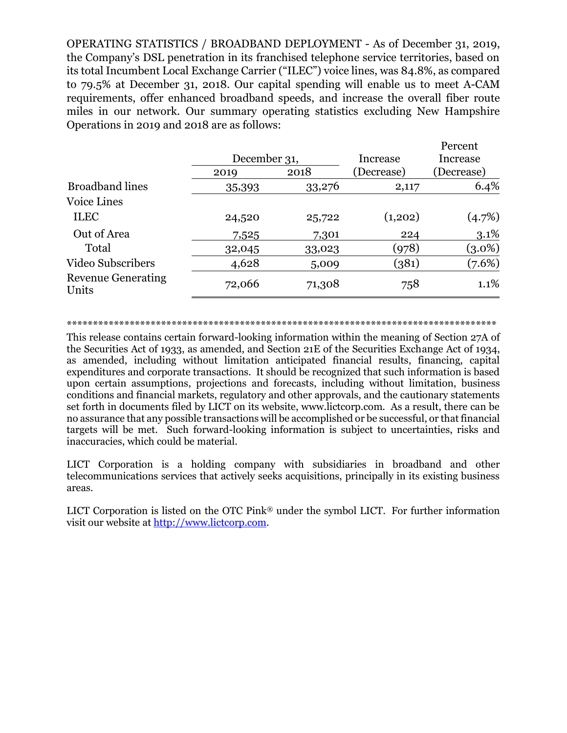OPERATING STATISTICS / BROADBAND DEPLOYMENT - As of December 31, 2019, the Company's DSL penetration in its franchised telephone service territories, based on its total Incumbent Local Exchange Carrier ("ILEC") voice lines, was 84.8%, as compared to 79.5% at December 31, 2018. Our capital spending will enable us to meet A-CAM requirements, offer enhanced broadband speeds, and increase the overall fiber route miles in our network. Our summary operating statistics excluding New Hampshire Operations in 2019 and 2018 are as follows:

|                                    |              |        |            | Percent    |
|------------------------------------|--------------|--------|------------|------------|
|                                    | December 31, |        | Increase   | Increase   |
|                                    | 2019         | 2018   | (Decrease) | (Decrease) |
| <b>Broadband lines</b>             | 35,393       | 33,276 | 2,117      | 6.4%       |
| <b>Voice Lines</b>                 |              |        |            |            |
| <b>ILEC</b>                        | 24,520       | 25,722 | (1,202)    | (4.7%)     |
| Out of Area                        | 7,525        | 7,301  | 224        | 3.1%       |
| Total                              | 32,045       | 33,023 | (978)      | $(3.0\%)$  |
| <b>Video Subscribers</b>           | 4,628        | 5,009  | (381)      | (7.6%)     |
| <b>Revenue Generating</b><br>Units | 72,066       | 71,308 | 758        | 1.1%       |

\*\*\*\*\*\*\*\*\*\*\*\*\*\*\*\*\*\*\*\*\*\*\*\*\*\*\*\*\*\*\*\*\*\*\*\*\*\*\*\*\*\*\*\*\*\*\*\*\*\*\*\*\*\*\*\*\*\*\*\*\*\*\*\*\*\*\*\*\*\*\*\*\*\*\*\*\*\*\*\*\*\*

This release contains certain forward-looking information within the meaning of Section 27A of the Securities Act of 1933, as amended, and Section 21E of the Securities Exchange Act of 1934, as amended, including without limitation anticipated financial results, financing, capital expenditures and corporate transactions. It should be recognized that such information is based upon certain assumptions, projections and forecasts, including without limitation, business conditions and financial markets, regulatory and other approvals, and the cautionary statements set forth in documents filed by LICT on its website, www.lictcorp.com. As a result, there can be no assurance that any possible transactions will be accomplished or be successful, or that financial targets will be met. Such forward-looking information is subject to uncertainties, risks and inaccuracies, which could be material.

LICT Corporation is a holding company with subsidiaries in broadband and other telecommunications services that actively seeks acquisitions, principally in its existing business areas.

LICT Corporation is listed on the OTC Pink® under the symbol LICT. For further information visit our website at [http://www.lictcorp.com.](http://www.lictcorp.com/)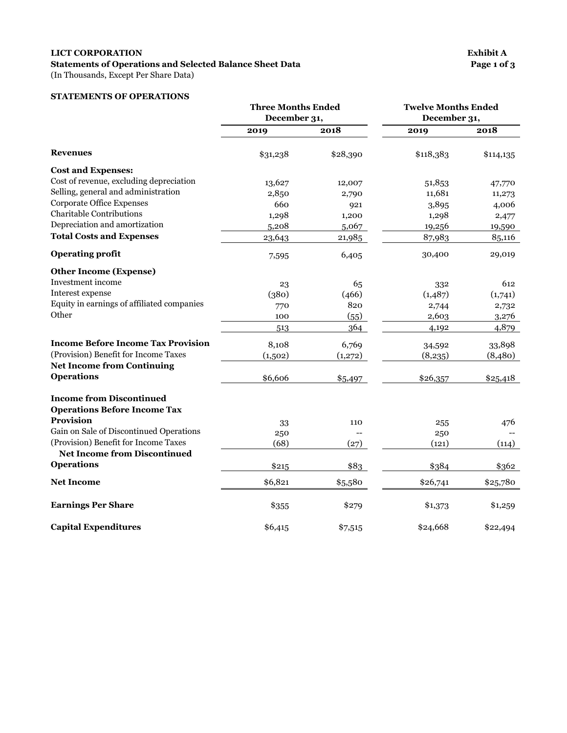### **LICT CORPORATION Exhibit A** Statements of Operations and Selected Balance Sheet Data Page 1 of 3

(In Thousands, Except Per Share Data)

#### **STATEMENTS OF OPERATIONS**

|                                            | <b>Three Months Ended</b><br>December 31, |          | <b>Twelve Months Ended</b><br>December 31, |           |
|--------------------------------------------|-------------------------------------------|----------|--------------------------------------------|-----------|
|                                            | 2019                                      | 2018     | 2019                                       | 2018      |
| Revenues                                   | \$31,238                                  | \$28,390 | \$118,383                                  | \$114,135 |
| <b>Cost and Expenses:</b>                  |                                           |          |                                            |           |
| Cost of revenue, excluding depreciation    | 13,627                                    | 12,007   | 51,853                                     | 47,770    |
| Selling, general and administration        | 2,850                                     | 2,790    | 11,681                                     | 11,273    |
| <b>Corporate Office Expenses</b>           | 660                                       | 921      | 3,895                                      | 4,006     |
| <b>Charitable Contributions</b>            | 1,298                                     | 1,200    | 1,298                                      | 2,477     |
| Depreciation and amortization              | 5,208                                     | 5,067    | 19,256                                     | 19,590    |
| <b>Total Costs and Expenses</b>            | 23,643                                    | 21,985   | 87,983                                     | 85,116    |
| <b>Operating profit</b>                    | 7,595                                     | 6,405    | 30,400                                     | 29,019    |
| <b>Other Income (Expense)</b>              |                                           |          |                                            |           |
| Investment income                          | 23                                        | 65       | 332                                        | 612       |
| Interest expense                           | (380)                                     | (466)    | (1,487)                                    | (1,741)   |
| Equity in earnings of affiliated companies | 770                                       | 820      | 2,744                                      | 2,732     |
| Other                                      | 100                                       | (55)     | 2,603                                      | 3,276     |
|                                            | 513                                       | 364      | 4,192                                      | 4,879     |
| <b>Income Before Income Tax Provision</b>  | 8,108                                     | 6,769    | 34,592                                     | 33,898    |
| (Provision) Benefit for Income Taxes       | (1,502)                                   | (1,272)  | (8,235)                                    | (8,480)   |
| <b>Net Income from Continuing</b>          |                                           |          |                                            |           |
| <b>Operations</b>                          | \$6,606                                   | \$5,497  | \$26,357                                   | \$25,418  |
| <b>Income from Discontinued</b>            |                                           |          |                                            |           |
| <b>Operations Before Income Tax</b>        |                                           |          |                                            |           |
| <b>Provision</b>                           | 33                                        | 110      | 255                                        | 476       |
| Gain on Sale of Discontinued Operations    | 250                                       |          | 250                                        |           |
| (Provision) Benefit for Income Taxes       | (68)                                      | (27)     | (121)                                      | (114)     |
| <b>Net Income from Discontinued</b>        |                                           |          |                                            |           |
| <b>Operations</b>                          | \$215                                     | \$83     | \$384                                      | \$362     |
| <b>Net Income</b>                          | \$6,821                                   | \$5,580  | \$26,741                                   | \$25,780  |
| <b>Earnings Per Share</b>                  | \$355                                     | \$279    | \$1,373                                    | \$1,259   |
| <b>Capital Expenditures</b>                | \$6,415                                   | \$7,515  | \$24,668                                   | \$22,494  |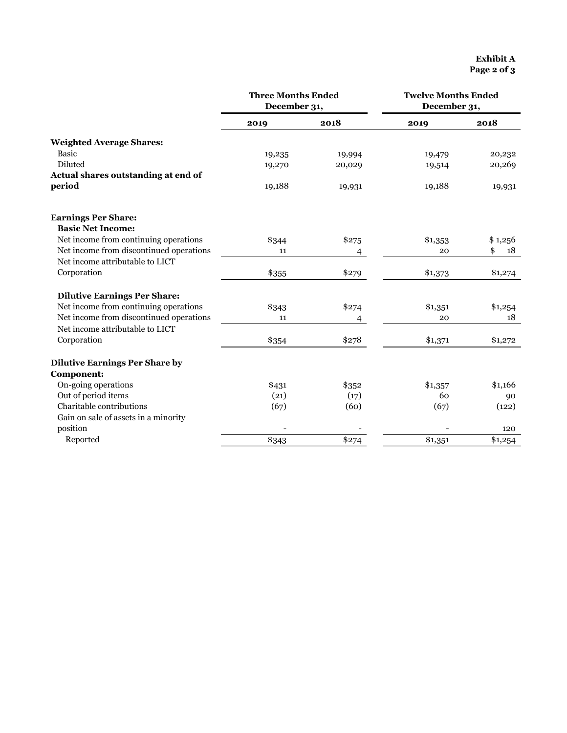|                                                        | <b>Three Months Ended</b><br>December 31, |        | <b>Twelve Months Ended</b><br>December 31, |          |
|--------------------------------------------------------|-------------------------------------------|--------|--------------------------------------------|----------|
|                                                        | 2019                                      | 2018   | 2019                                       | 2018     |
| <b>Weighted Average Shares:</b>                        |                                           |        |                                            |          |
| <b>Basic</b>                                           | 19,235                                    | 19,994 | 19,479                                     | 20,232   |
| Diluted                                                | 19,270                                    | 20,029 | 19,514                                     | 20,269   |
| Actual shares outstanding at end of                    |                                           |        |                                            |          |
| period                                                 | 19,188                                    | 19,931 | 19,188                                     | 19,931   |
| <b>Earnings Per Share:</b><br><b>Basic Net Income:</b> |                                           |        |                                            |          |
| Net income from continuing operations                  | \$344                                     | \$275  | \$1,353                                    | \$1,256  |
| Net income from discontinued operations                | 11                                        | 4      | 20                                         | \$<br>18 |
| Net income attributable to LICT                        |                                           |        |                                            |          |
| Corporation                                            | \$355                                     | \$279  | \$1,373                                    | \$1,274  |
| <b>Dilutive Earnings Per Share:</b>                    |                                           |        |                                            |          |
| Net income from continuing operations                  | \$343                                     | \$274  | \$1,351                                    | \$1,254  |
| Net income from discontinued operations                | 11                                        | 4      | 20                                         | 18       |
| Net income attributable to LICT                        |                                           |        |                                            |          |
| Corporation                                            | \$354                                     | \$278  | \$1,371                                    | \$1,272  |
| <b>Dilutive Earnings Per Share by</b>                  |                                           |        |                                            |          |
| Component:                                             |                                           |        |                                            |          |
| On-going operations                                    | \$431                                     | \$352  | \$1,357                                    | \$1,166  |
| Out of period items                                    | (21)                                      | (17)   | 60                                         | 90       |
| Charitable contributions                               | (67)                                      | (60)   | (67)                                       | (122)    |
| Gain on sale of assets in a minority                   |                                           |        |                                            |          |
| position                                               |                                           |        |                                            | 120      |
| Reported                                               | \$343                                     | \$274  | \$1,351                                    | \$1,254  |